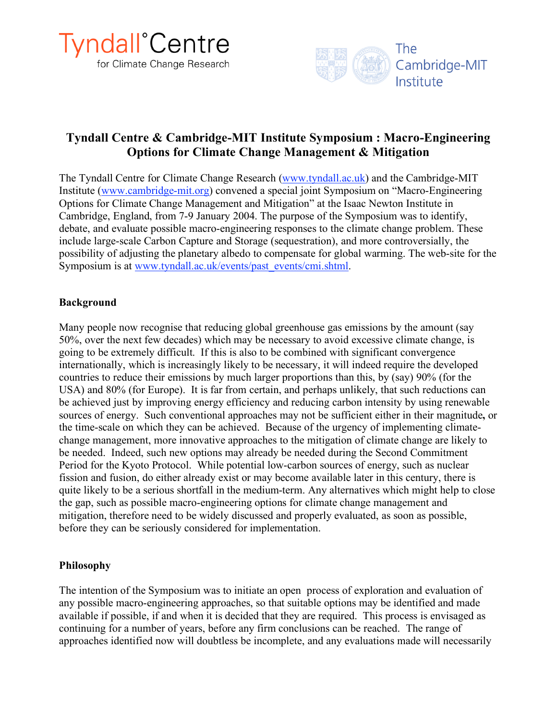



# **Tyndall Centre & Cambridge-MIT Institute Symposium : Macro-Engineering Options for Climate Change Management & Mitigation**

The Tyndall Centre for Climate Change Research (www.tyndall.ac.uk) and the Cambridge-MIT Institute (www.cambridge-mit.org) convened a special joint Symposium on "Macro-Engineering Options for Climate Change Management and Mitigation" at the Isaac Newton Institute in Cambridge, England, from 7-9 January 2004. The purpose of the Symposium was to identify, debate, and evaluate possible macro-engineering responses to the climate change problem. These include large-scale Carbon Capture and Storage (sequestration), and more controversially, the possibility of adjusting the planetary albedo to compensate for global warming. The web-site for the Symposium is at www.tyndall.ac.uk/events/past\_events/cmi.shtml.

### **Background**

Many people now recognise that reducing global greenhouse gas emissions by the amount (say 50%, over the next few decades) which may be necessary to avoid excessive climate change, is going to be extremely difficult. If this is also to be combined with significant convergence internationally, which is increasingly likely to be necessary, it will indeed require the developed countries to reduce their emissions by much larger proportions than this, by (say) 90% (for the USA) and 80% (for Europe). It is far from certain, and perhaps unlikely, that such reductions can be achieved just by improving energy efficiency and reducing carbon intensity by using renewable sources of energy. Such conventional approaches may not be sufficient either in their magnitude**,** or the time-scale on which they can be achieved. Because of the urgency of implementing climatechange management, more innovative approaches to the mitigation of climate change are likely to be needed. Indeed, such new options may already be needed during the Second Commitment Period for the Kyoto Protocol. While potential low-carbon sources of energy, such as nuclear fission and fusion, do either already exist or may become available later in this century, there is quite likely to be a serious shortfall in the medium-term. Any alternatives which might help to close the gap, such as possible macro-engineering options for climate change management and mitigation, therefore need to be widely discussed and properly evaluated, as soon as possible, before they can be seriously considered for implementation.

# **Philosophy**

The intention of the Symposium was to initiate an open process of exploration and evaluation of any possible macro-engineering approaches, so that suitable options may be identified and made available if possible, if and when it is decided that they are required. This process is envisaged as continuing for a number of years, before any firm conclusions can be reached. The range of approaches identified now will doubtless be incomplete, and any evaluations made will necessarily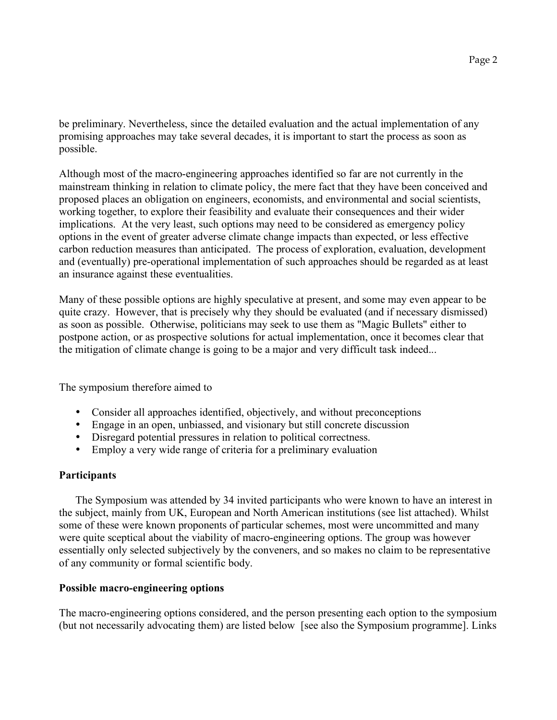be preliminary. Nevertheless, since the detailed evaluation and the actual implementation of any promising approaches may take several decades, it is important to start the process as soon as possible.

Although most of the macro-engineering approaches identified so far are not currently in the mainstream thinking in relation to climate policy, the mere fact that they have been conceived and proposed places an obligation on engineers, economists, and environmental and social scientists, working together, to explore their feasibility and evaluate their consequences and their wider implications. At the very least, such options may need to be considered as emergency policy options in the event of greater adverse climate change impacts than expected, or less effective carbon reduction measures than anticipated. The process of exploration, evaluation, development and (eventually) pre-operational implementation of such approaches should be regarded as at least an insurance against these eventualities.

Many of these possible options are highly speculative at present, and some may even appear to be quite crazy. However, that is precisely why they should be evaluated (and if necessary dismissed) as soon as possible. Otherwise, politicians may seek to use them as "Magic Bullets" either to postpone action, or as prospective solutions for actual implementation, once it becomes clear that the mitigation of climate change is going to be a major and very difficult task indeed...

The symposium therefore aimed to

- Consider all approaches identified, objectively, and without preconceptions
- Engage in an open, unbiassed, and visionary but still concrete discussion
- Disregard potential pressures in relation to political correctness.
- Employ a very wide range of criteria for a preliminary evaluation

# **Participants**

The Symposium was attended by 34 invited participants who were known to have an interest in the subject, mainly from UK, European and North American institutions (see list attached). Whilst some of these were known proponents of particular schemes, most were uncommitted and many were quite sceptical about the viability of macro-engineering options. The group was however essentially only selected subjectively by the conveners, and so makes no claim to be representative of any community or formal scientific body.

# **Possible macro-engineering options**

The macro-engineering options considered, and the person presenting each option to the symposium (but not necessarily advocating them) are listed below [see also the Symposium programme]. Links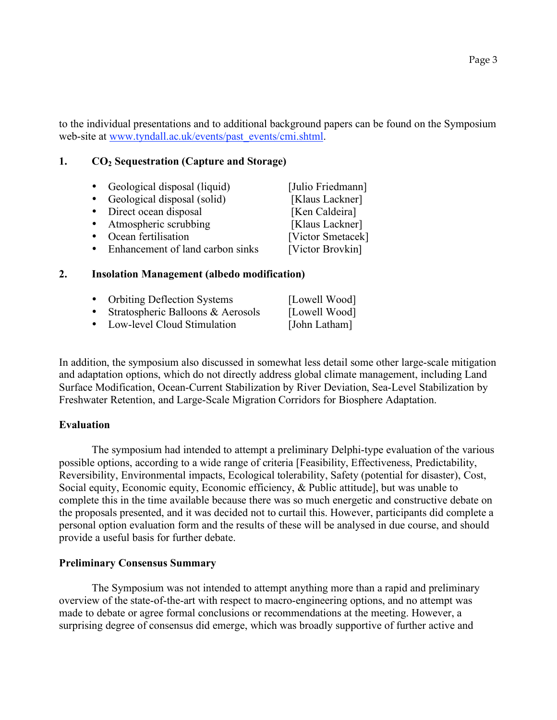to the individual presentations and to additional background papers can be found on the Symposium web-site at www.tyndall.ac.uk/events/past\_events/cmi.shtml.

#### **1. CO2 Sequestration (Capture and Storage)**

| Geological disposal (liquid)     | [Julio Friedmann] |
|----------------------------------|-------------------|
| Geological disposal (solid)      | [Klaus Lackner]   |
| Direct ocean disposal            | [Ken Caldeira]    |
| • Atmospheric scrubbing          | [Klaus Lackner]   |
| Ocean fertilisation              | [Victor Smetacek] |
| Enhancement of land carbon sinks | [Victor Brovkin]  |

#### **2. Insolation Management (albedo modification)**

|           | • Orbiting Deflection Systems     | [Lowell Wood] |
|-----------|-----------------------------------|---------------|
| $\bullet$ | Stratospheric Balloons & Aerosols | [Lowell Wood] |
| $\bullet$ | Low-level Cloud Stimulation       | [John Latham] |

In addition, the symposium also discussed in somewhat less detail some other large-scale mitigation and adaptation options, which do not directly address global climate management, including Land Surface Modification, Ocean-Current Stabilization by River Deviation, Sea-Level Stabilization by Freshwater Retention, and Large-Scale Migration Corridors for Biosphere Adaptation.

#### **Evaluation**

The symposium had intended to attempt a preliminary Delphi-type evaluation of the various possible options, according to a wide range of criteria [Feasibility, Effectiveness, Predictability, Reversibility, Environmental impacts, Ecological tolerability, Safety (potential for disaster), Cost, Social equity, Economic equity, Economic efficiency, & Public attitude], but was unable to complete this in the time available because there was so much energetic and constructive debate on the proposals presented, and it was decided not to curtail this. However, participants did complete a personal option evaluation form and the results of these will be analysed in due course, and should provide a useful basis for further debate.

#### **Preliminary Consensus Summary**

The Symposium was not intended to attempt anything more than a rapid and preliminary overview of the state-of-the-art with respect to macro-engineering options, and no attempt was made to debate or agree formal conclusions or recommendations at the meeting. However, a surprising degree of consensus did emerge, which was broadly supportive of further active and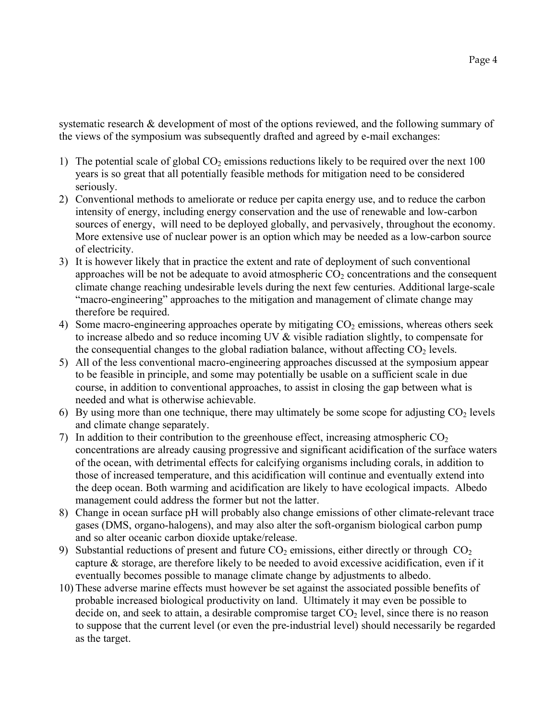systematic research & development of most of the options reviewed, and the following summary of the views of the symposium was subsequently drafted and agreed by e-mail exchanges:

- 1) The potential scale of global  $CO<sub>2</sub>$  emissions reductions likely to be required over the next 100 years is so great that all potentially feasible methods for mitigation need to be considered seriously.
- 2) Conventional methods to ameliorate or reduce per capita energy use, and to reduce the carbon intensity of energy, including energy conservation and the use of renewable and low-carbon sources of energy, will need to be deployed globally, and pervasively, throughout the economy. More extensive use of nuclear power is an option which may be needed as a low-carbon source of electricity.
- 3) It is however likely that in practice the extent and rate of deployment of such conventional approaches will be not be adequate to avoid atmospheric  $CO<sub>2</sub>$  concentrations and the consequent climate change reaching undesirable levels during the next few centuries. Additional large-scale "macro-engineering" approaches to the mitigation and management of climate change may therefore be required.
- 4) Some macro-engineering approaches operate by mitigating  $CO<sub>2</sub>$  emissions, whereas others seek to increase albedo and so reduce incoming UV & visible radiation slightly, to compensate for the consequential changes to the global radiation balance, without affecting  $CO<sub>2</sub>$  levels.
- 5) All of the less conventional macro-engineering approaches discussed at the symposium appear to be feasible in principle, and some may potentially be usable on a sufficient scale in due course, in addition to conventional approaches, to assist in closing the gap between what is needed and what is otherwise achievable.
- 6) By using more than one technique, there may ultimately be some scope for adjusting  $CO<sub>2</sub>$  levels and climate change separately.
- 7) In addition to their contribution to the greenhouse effect, increasing atmospheric  $CO<sub>2</sub>$ concentrations are already causing progressive and significant acidification of the surface waters of the ocean, with detrimental effects for calcifying organisms including corals, in addition to those of increased temperature, and this acidification will continue and eventually extend into the deep ocean. Both warming and acidification are likely to have ecological impacts. Albedo management could address the former but not the latter.
- 8) Change in ocean surface pH will probably also change emissions of other climate-relevant trace gases (DMS, organo-halogens), and may also alter the soft-organism biological carbon pump and so alter oceanic carbon dioxide uptake/release.
- 9) Substantial reductions of present and future  $CO<sub>2</sub>$  emissions, either directly or through  $CO<sub>2</sub>$ capture  $\&$  storage, are therefore likely to be needed to avoid excessive acidification, even if it eventually becomes possible to manage climate change by adjustments to albedo.
- 10) These adverse marine effects must however be set against the associated possible benefits of probable increased biological productivity on land. Ultimately it may even be possible to decide on, and seek to attain, a desirable compromise target  $CO<sub>2</sub>$  level, since there is no reason to suppose that the current level (or even the pre-industrial level) should necessarily be regarded as the target.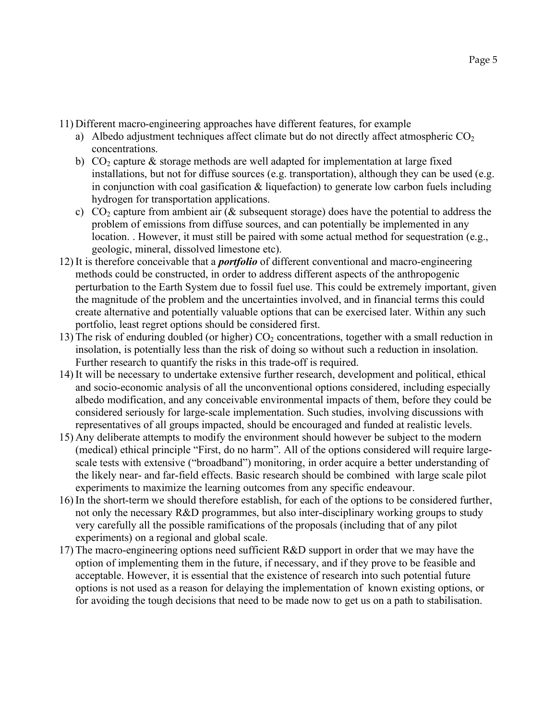11) Different macro-engineering approaches have different features, for example

- a) Albedo adjustment techniques affect climate but do not directly affect atmospheric  $CO<sub>2</sub>$ concentrations.
- b)  $CO<sub>2</sub>$  capture  $\&$  storage methods are well adapted for implementation at large fixed installations, but not for diffuse sources (e.g. transportation), although they can be used (e.g. in conjunction with coal gasification  $\&$  liquefaction) to generate low carbon fuels including hydrogen for transportation applications.
- c)  $CO<sub>2</sub>$  capture from ambient air ( $\&$  subsequent storage) does have the potential to address the problem of emissions from diffuse sources, and can potentially be implemented in any location. . However, it must still be paired with some actual method for sequestration (e.g., geologic, mineral, dissolved limestone etc).
- 12) It is therefore conceivable that a *portfolio* of different conventional and macro-engineering methods could be constructed, in order to address different aspects of the anthropogenic perturbation to the Earth System due to fossil fuel use. This could be extremely important, given the magnitude of the problem and the uncertainties involved, and in financial terms this could create alternative and potentially valuable options that can be exercised later. Within any such portfolio, least regret options should be considered first.
- 13) The risk of enduring doubled (or higher)  $CO<sub>2</sub>$  concentrations, together with a small reduction in insolation, is potentially less than the risk of doing so without such a reduction in insolation. Further research to quantify the risks in this trade-off is required.
- 14) It will be necessary to undertake extensive further research, development and political, ethical and socio-economic analysis of all the unconventional options considered, including especially albedo modification, and any conceivable environmental impacts of them, before they could be considered seriously for large-scale implementation. Such studies, involving discussions with representatives of all groups impacted, should be encouraged and funded at realistic levels.
- 15) Any deliberate attempts to modify the environment should however be subject to the modern (medical) ethical principle "First, do no harm". All of the options considered will require largescale tests with extensive ("broadband") monitoring, in order acquire a better understanding of the likely near- and far-field effects. Basic research should be combined with large scale pilot experiments to maximize the learning outcomes from any specific endeavour.
- 16) In the short-term we should therefore establish, for each of the options to be considered further, not only the necessary R&D programmes, but also inter-disciplinary working groups to study very carefully all the possible ramifications of the proposals (including that of any pilot experiments) on a regional and global scale.
- 17) The macro-engineering options need sufficient R&D support in order that we may have the option of implementing them in the future, if necessary, and if they prove to be feasible and acceptable. However, it is essential that the existence of research into such potential future options is not used as a reason for delaying the implementation of known existing options, or for avoiding the tough decisions that need to be made now to get us on a path to stabilisation.